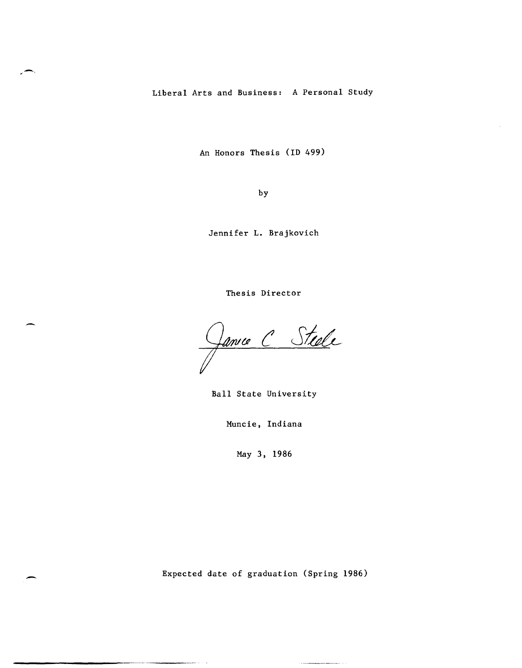Liberal Arts and Business: A Personal Study

An Honors Thesis (ID 499)

by

Jennifer L. Brajkovich

Thesis Director

Janne C Steele

Ball State University

Muncie, Indiana

May 3, 1986

Expected date of graduation (Spring 1986)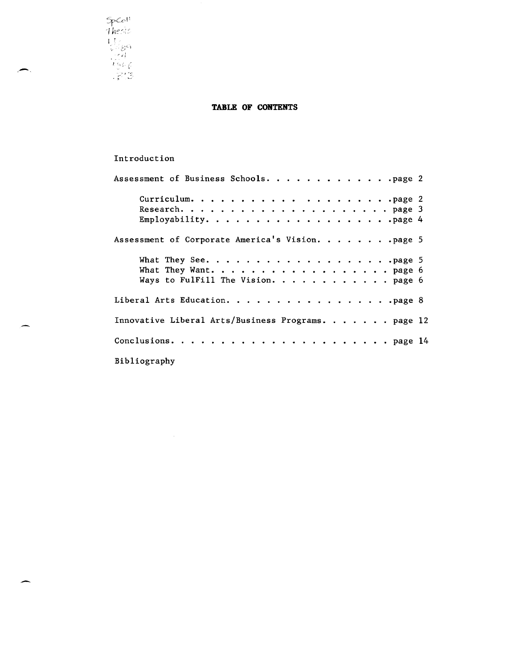SpCo!' I hesis 1 T • 1'- .. -~

,-,

## **TABLE OF CONTENTS**

## Introduction

| Assessment of Business Schools. page 2                       |  |
|--------------------------------------------------------------|--|
|                                                              |  |
| Assessment of Corporate America's Vision. page 5             |  |
| What They Want. page 6<br>Ways to Fulfill The Vision. page 6 |  |
|                                                              |  |
| Innovative Liberal Arts/Business Programs. page 12           |  |
|                                                              |  |
| Bibliography                                                 |  |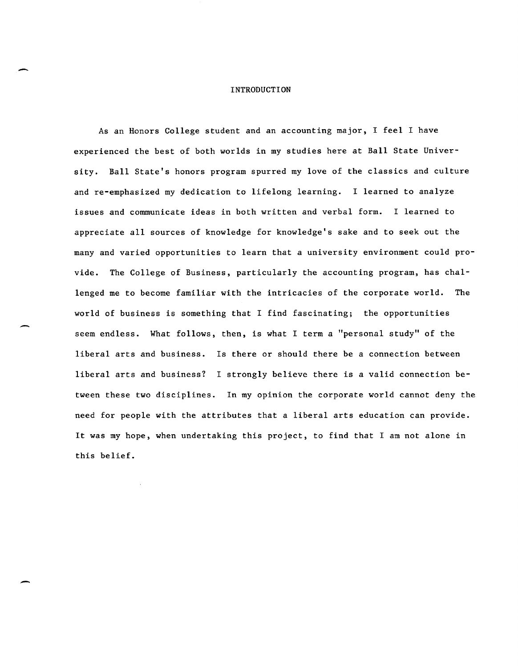#### INTRODUCTION

-

-

As an Honors College student and an accounting major, I feel I have experienced the best of both worlds in my studies here at Ball State University. Ball State's honors program spurred my love of the classics and culture and re-emphasized my dedication to lifelong learning. I learned to analyze issues and communicate ideas in both written and verbal form. I learned to appreciate all sources of knowledge for knowledge's sake and to seek out the many and varied opportunities to learn that a university environment could provide. The College of Business, particularly the accounting program, has challenged me to become familiar with the intricacies of the corporate world. The world of business is something that I find fascinating; the opportunities seem endless. What follows, then, is what I term a "personal study" of the liberal arts and business. Is there or should there be a connection between liberal arts and business? I strongly believe there is a valid connection between these two disciplines. In my opinion the corporate world cannot deny the need for people with the attributes that a liberal arts education can provide. It was my hope, when undertaking this project, to find that I am not alone in this belief.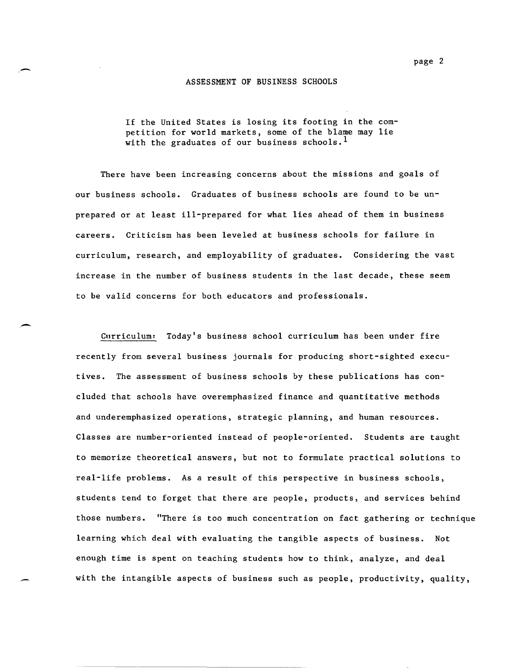#### ASSESSMENT OF BUSINESS SCHOOLS

If the United States is losing its footing in the competition for world markets, some of the blame may lie with the graduates of our business schools.<sup>1</sup>

There have been increasing concerns about the missions and goals of our business schools. Graduates of business schools are found to be unprepared or at least ill-prepared for what lies ahead of them in business careers. Criticism has been leveled at business schools for failure in curriculum, research, and employability of graduates. Considering the vast increase in the number of business students in the last decade, these seem to be valid concerns for both educators and professionals .

. -

Curriculum! Today's business school curriculum has been under fire recently from several business journals for producing short-sighted executives. The assessment of business schools by these publications has concluded that schools have overemphasized finance and quantitative methods and underemphasized operations, strategic planning, and human resources. Classes are number-oriented instead of people-oriented. Students are taught to memorize theoretical answers, but not to formulate practical solutions to real-life problems. As a result of this perspective in business schools, students tend to forget that there are people, products, and services behind those numbers. "There is too much concentration on fact gathering or technique learning which deal with evaluating the tangible aspects of business. Not enough time is spent on teaching students how to think, analyze, and deal with the intangible aspects of business such as people, productivity, quality,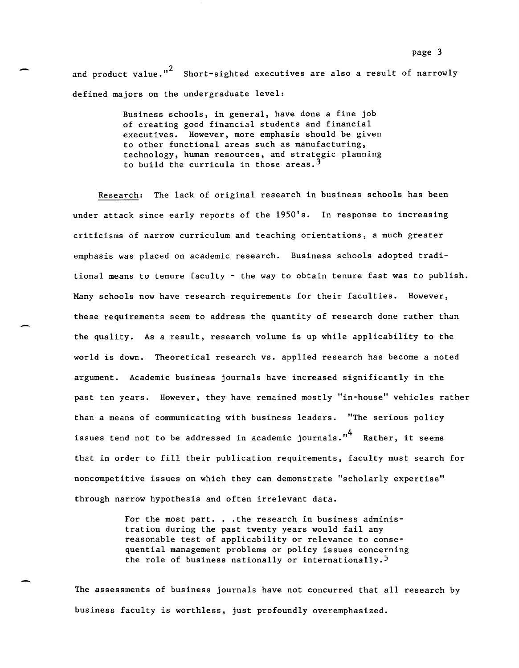page 3<br>and product value."<sup>2</sup> Short-sighted executives are also a result of narrowly defined majors on the undergraduate level:

> Business schools, in general, have done a fine job of creating good financial students and financial executives. However, more emphasis should be given to other functional areas such as manufacturing, technology, human resources, and strategic planning to build the curricula in those areas.<sup>3</sup>

Research: The lack of original research in business schools has been under attack since early reports of the 1950's. In response to increasing criticisms of narrow curriculum and teaching orientations, a much greater emphasis was placed on academic research. Business schools adopted traditional means to tenure faculty - the way to obtain tenure fast was to publish. Many schools now have research requirements for their faculties. However, these requirements seem to address the quantity of research done rather than the quality. As a result, research volume is up while applicability to the world is down. Theoretical research vs. applied research has become a noted argument. Academic business journals have increased significantly in the past ten years. However, they have remained mostly "in-house" vehicles rather than a means of communicating with business leaders. "The serious policy issues tend not to be addressed in academic journals."<sup>4</sup> Rather, it seems that in order to fill their publication requirements, faculty must search for noncompetitive issues on which they can demonstrate "scholarly expertise" through narrow hypothesis and often irrelevant data.

> For the most part. . . the research in business administration during the past twenty years would fail any reasonable test of applicability or relevance to consequential management problems or policy issues concerning the role of business nationally or internationally.<sup>5</sup>

The assessments of business journals have not concurred that all research by business faculty is worthless, just profoundly overemphasized.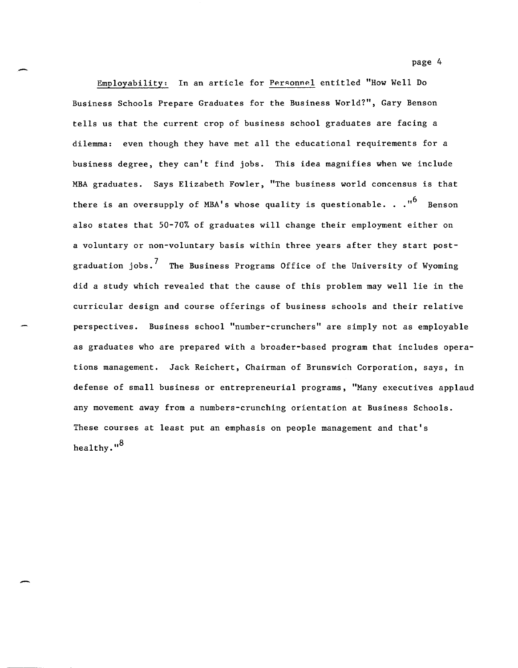page 4

Employability: In an article for Personnel entitled "How Well Do Business Schools Prepare Graduates for the Business World?", Gary Benson tells us that the current crop of business school graduates are facing a dilemma: even though they have met all the educational requirements for a business degree, they can't find jobs. This idea magnifies when we include MBA graduates. Says Elizabeth Fowler, "The business world concensus is that there is an oversupply of MBA's whose quality is questionable.  $\cdot$  .<sup>16</sup> Benson also states that 50-70% of graduates will change their employment either on a voluntary or non-voluntary basis within three years after they start postgraduation  $i$ obs.<sup>7</sup> The Business Programs Office of the University of Wyoming did a study which revealed that the cause of this problem may well lie in the curricular design and course offerings of business schools and their relative perspectives. Business school "number-crunchers" are simply not as employable as graduates who are prepared with a broader-based program that includes operations management. Jack Reichert, Chairman of Brunswich Corporation, says, in defense of small business or entrepreneurial programs, "Many executives applaud any movement away from a numbers-crunching orientation at Business Schools. These courses at least put an emphasis on people management and that's healthy."<sup>8</sup>

-

-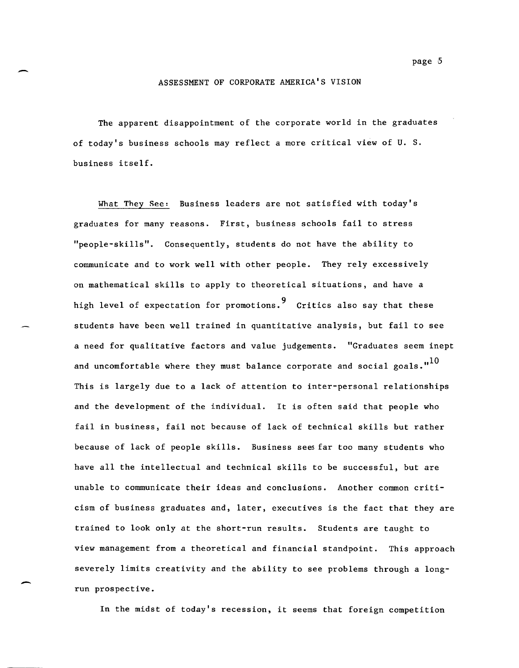#### ASSESSMENT OF CORPORATE AMERICA'S VISION

-

-

The apparent disappointment of the corporate world in the graduates of today's business schools may reflect a more critical view of U. S. business itself.

What They See: Business leaders are not satisfied with today's graduates for many reasons. First, business schools fail to stress "people-skills". Consequently, students do not have the ability to communicate and to work well with other people. They rely excessively on mathematical skills to apply to theoretical situations, and have a high level of expectation for promotions. 9 Critics also say that these students have been well trained in quantitative analysis, but fail to see a need for qualitative factors and value judgements. "Graduates seem inept and uncomfortable where they must balance corporate and social goals. $1^{10}$ This is largely due to a lack of attention to inter-personal relationships and the development of the individual. It is often said that people who fail in business, fail not because of lack of technical skills but rather because of lack of people skills. Business sees far too many students who have all the intellectual and technical skills to be successful, but are unable to communicate their ideas and conclusions. Another common criticism of business graduates and, later, executives is the fact that they are trained to look only at the short-run results. Students are taught to view management from a theoretical and financial standpoint. This approach severely limits creativity and the ability to see problems through a longrun prospective.

In the midst of today's recession, it seems that foreign competition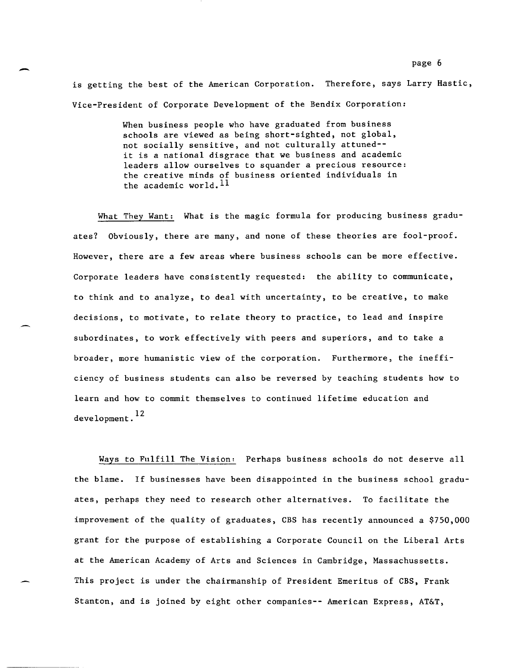is getting the best of the American Corporation. Therefore, says Larry Hastic, Vice-President of Corporate Development of the Bendix Corporation:

> When business people who have graduated from business schools are viewed as being short-sighted, not global, not socially sensitive, and not culturally attuned- it is a national disgrace that we business and academic leaders allow ourselves to squander a precious resource: the creative minds of business oriented individuals in the academic world.  $^{11}$

What They Want: What is the magic formula for producing business graduates? Obviously, there are many, and none of these theories are fool-proof. However, there are a few areas where business schools can be more effective. Corporate leaders have consistently requested: the ability to communicate, to think and to analyze, to deal with uncertainty, to be creative, to make decisions, to motivate, to relate theory to practice, to lead and inspire subordinates, to work effectively with peers and superiors, and to take a broader, more humanistic view of the corporation. Furthermore, the inefficiency of business students can also be reversed by teaching students how to learn and how to commit themselves to continued lifetime education and development.<sup>12</sup>

Ways to Fulfill The Vision' Perhaps business schools do not deserve all the blame. If businesses have been disappointed in the business school graduates, perhaps they need to research other alternatives. To facilitate the improvement of the quality of graduates, CBS has recently announced a \$750,000 grant for the purpose of establishing a Corporate Council on the Liberal Arts at the American Academy of Arts and Sciences in Cambridge, Massachussetts. This project is under the chairmanship of President Emeritus of CBS, Frank Stanton, and is joined by eight other companies-- American Express, AT&T,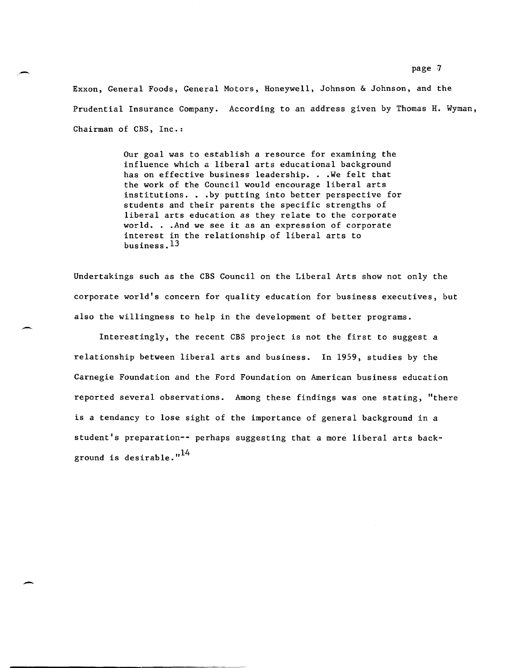Exxon, General Foods, General Motors, Honeywell, Johnson & Johnson, and the Prudential Insurance Company. According to an address given by Thomas H. Wyman, Chairman of CBS, Inc.:

.,-

,-

-

Our goal was to establish a resource for examining the influence which a liberal arts educational background has on effective business leadership. . . We felt that the work of the Council would encourage liberal arts institutions. . .by putting into better perspective for students and their parents the specific strengths of liberal arts education as they relate to the corporate world. . .And we see it as an expression of corporate interest in the relationship of liberal arts to business. 13

Undertakings such as the CBS Council on the Liberal Arts show not only the corporate world's concern for quality education for business executives, but also the willingness to help in the development of better programs.

Interestingly, the recent CBS project is not the first to suggest a relationship between liberal arts and business. In 1959, studies by the Carnegie Foundation and the Ford Foundation on American business education reported several observations. Among these findings was one stating, "there is a tendancy to lose sight of the importance of general background in a student's preparation-- perhaps suggesting that a more liberal arts background is desirable." $14$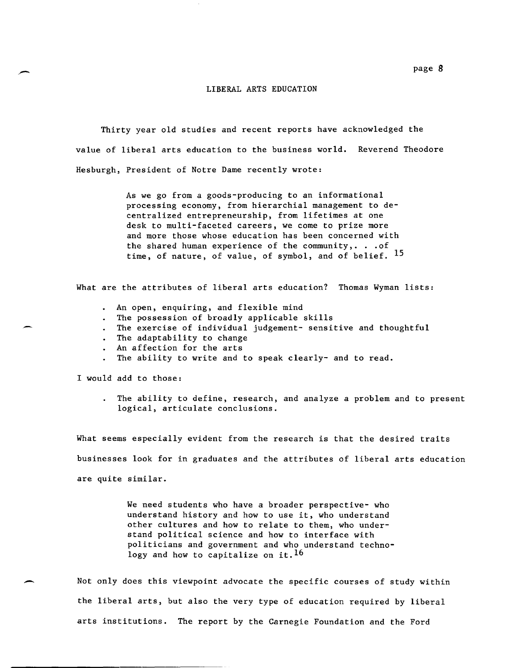#### LIBERAL ARTS EDUCATION

Thirty year old studies and recent reports have acknowledged the value of liberal arts education to the business world. Reverend Theodore Hesburgh, President of Notre Dame recently wrote:

> As we go from a goods-producing to an informational processing economy, from hierarchial management to decentralized entrepreneurship, from lifetimes at one desk to multi-faceted careers, we come to prize more and more those whose education has been concerned with the shared human experience of the community,.  $\ldots$  of time, of nature, of value, of symbol, and of belief. <sup>15</sup>

What are the attributes of liberal arts education? Thomas Wyman lists:

- An open, enquiring, and flexible mind  $\mathbf{A}^{\text{max}}$
- The possession of broadly applicable skills
- The exercise of individual judgement- sensitive and thoughtful
- The adaptability to change
- An affection for the arts
- The ability to write and to speak clearly- and to read.

I would add to those:

The ability to define, research, and analyze a problem and to present logical, articulate conclusions.

What seems especially evident from the research is that the desired traits businesses look for in graduates and the attributes of liberal arts education are quite similar.

> We need students who have a broader perspective- who understand history and how to use it, who understand other cultures and how to relate to them, who understand political science and how to interface with politicians and government and who understand technology and how to capitalize on it.  $16$

Not only does this viewpoint advocate the specific courses of study within the liberal arts, but also the very type of education required by liberal arts institutions. The report by the Carnegie Foundation and the Ford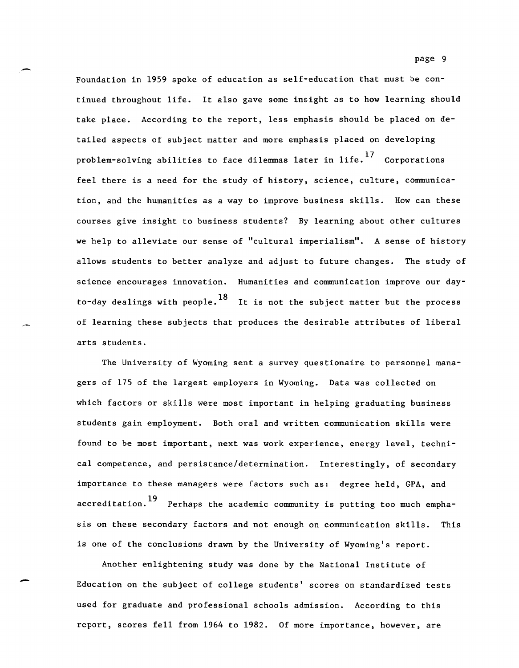Foundation in 1959 spoke of education as self-education that must be continued throughout life. It also gave some insight as to how learning should take place. According to the report, less emphasis should be placed on detailed aspects of subject matter and more emphasis placed on developing problem-solving abilities to face dilemmas later in life.<sup>17</sup> Corporations feel there is a need for the study of history, science, culture, communication, and the humanities as a way to improve business skills. How can these courses give insight to business students? By learning about other cultures we help to alleviate our sense of "cultural imperialism". A sense of history allows students to better analyze and adjust to future changes. The study of science encourages innovation. Humanities and communication improve our dayto-day dealings with people.<sup>18</sup> It is not the subject matter but the process of learning these subjects that produces the desirable attributes of liberal arts students.

The University of Wyoming sent a survey questionaire to personnel managers of 175 of the largest employers in Wyoming. Data was collected on which factors or skills were most important in helping graduating business students gain employment. Both oral and written communication skills were found to be most important, next was work experience, energy level, technical competence, and persistance/determination. Interestingly, of secondary importance to these managers were factors such as: degree held, *CPA,* and  $\arctan \frac{19}{18}$  Perhaps the academic community is putting too much emphasis on these secondary factors and not enough on communication skills. This is one of the conclusions drawn by the University of Wyoming's report.

Another enlightening study was done by the National Institute of Education on the subject of college students' scores on standardized tests used for graduate and professional schools admission. According to this report, scores fell from 1964 to 1982. Of more importance, however, are

-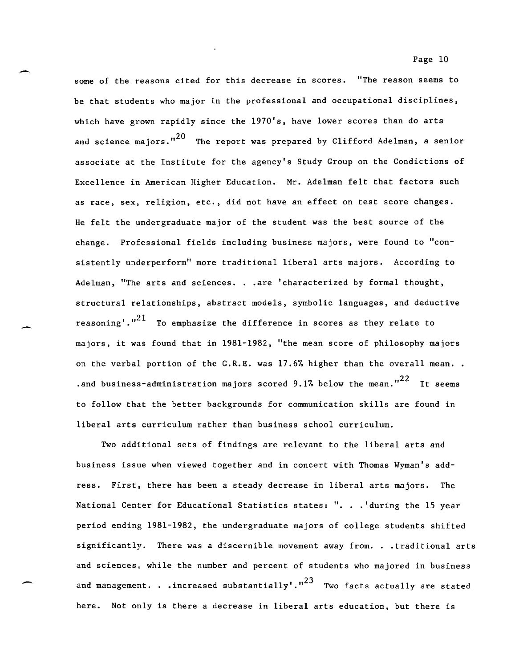some of the reasons cited for this decrease in scores. "The reason seems to be that students who major in the professional and occupational disciplines, which have grown rapidly since the 1970's, have lower scores than do arts and science majors."<sup>20</sup> The report was prepared by Clifford Adelman, a senior associate at the Institute for the agency's Study Group on the Condictions of Excellence in American Higher Education. Mr. Adelman felt that factors such as race, sex, religion, etc., did not have an effect on test score changes. He felt the undergraduate major of the student was the best source of the change. Professional fields including business majors, were found to "consistently underperform" more traditional liberal arts majors. According to Adelman, "The arts and sciences. . . are 'characterized by formal thought, structural relationships, abstract models, symbolic languages, and deductive reasoning'. $1^{21}$  To emphasize the difference in scores as they relate to majors, it was found that in 1981-1982, "the mean score of philosophy majors on the verbal portion of the  $G.R.E.$  was 17.6% higher than the overall mean.. . and business-administration majors scored 9.1% below the mean." $^{22}$  It seems to follow that the better backgrounds for communication skills are found in

-

-

Two additional sets of findings are relevant to the liberal arts and business issue when viewed together and in concert with Thomas Wyman's address. First, there has been a steady decrease in liberal arts majors. The National Center for Educational Statistics states: ". . . 'during the 15 year period ending 1981-1982, the undergraduate majors of college students shifted significantly. There was a discernible movement away from. . .traditional arts and sciences, while the number and percent of students who majored in business and management. . . increased substantially'." $^{23}$  Two facts actually are stated here. Not only is there a decrease in liberal arts education, but there is

liberal arts curriculum rather than business school curriculum.

Page 10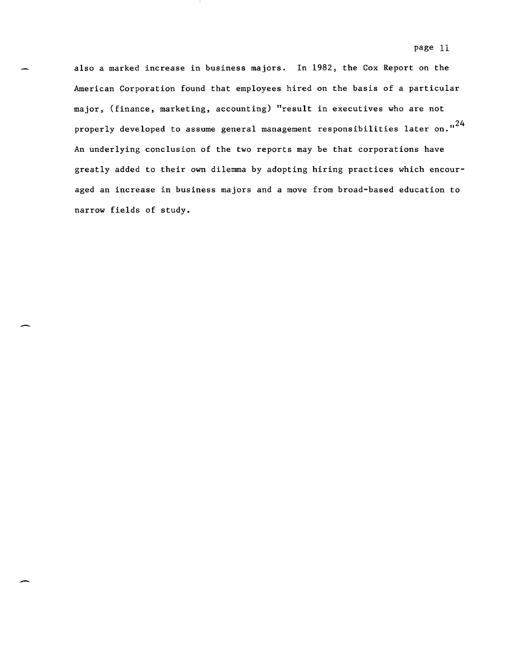also a marked increase in business majors. In 1982, the Cox Report on the American Corporation found that employees hired on the basis of a particular major, (finance, marketing, accounting) "result in executives who are not properly developed to assume general management responsibilities later on."<sup>24</sup> An underlying conclusion of the two reports may be that corporations have greatly added to their own dilemma by adopting hiring practices which encouraged an increase in business majors and a move from broad-based education to narrow fields of study.

-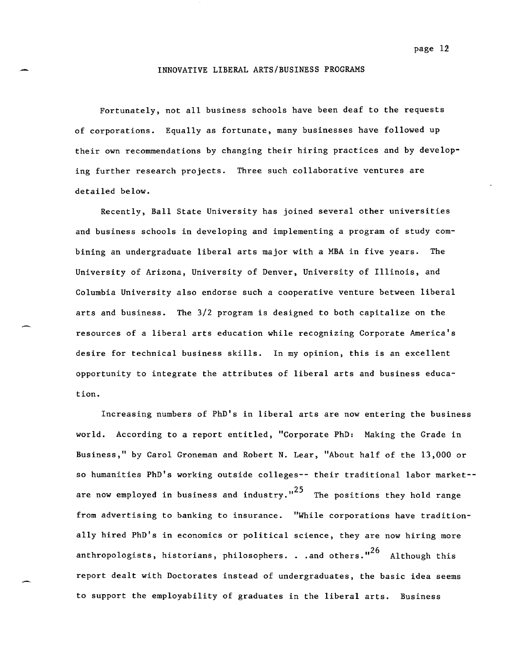#### INNOVATIVE LIBERAL ARTS/BUSINESS PROGRAMS

Fortunately, not all business schools have been deaf to the requests of corporations. Equally as fortunate, many businesses have followed up their own recommendations by changing their hiring practices and by developing further research projects. Three such collaborative ventures are detailed below.

Recently, Ball State University has joined several other universities and business schools in developing and implementing a program of study combining an undergraduate liberal arts major with a MBA in five years. The University of Arizona, University of Denver, University of Illinois, and Columbia University also endorse such a cooperative venture between liberal arts and business. The 3/2 program is designed to both capitalize on the resources of a liberal arts education while recognizing Corporate America's desire for technical business skills. In my opinion, this is an excellent opportunity to integrate the attributes of liberal arts and business education.

Increasing numbers of PhD's in liberal arts are now entering the business world. According to a report entitled, "Corporate PhD: Making the Grade in Business," by Carol Groneman and Robert N. Lear, "About half of the 13,000 or so humanities PhD's working outside colleges-- their traditional labor market- are now employed in business and industry." $^{25}$  The positions they hold range from advertising to banking to insurance. "While corporations have traditionally hired PhD's in economics or political science, they are now hiring more anthropologists, historians, philosophers. . .and others." $^{26}$  Although this report dealt with Doctorates instead of undergraduates, the basic idea seems to support the employability of graduates in the liberal arts. Business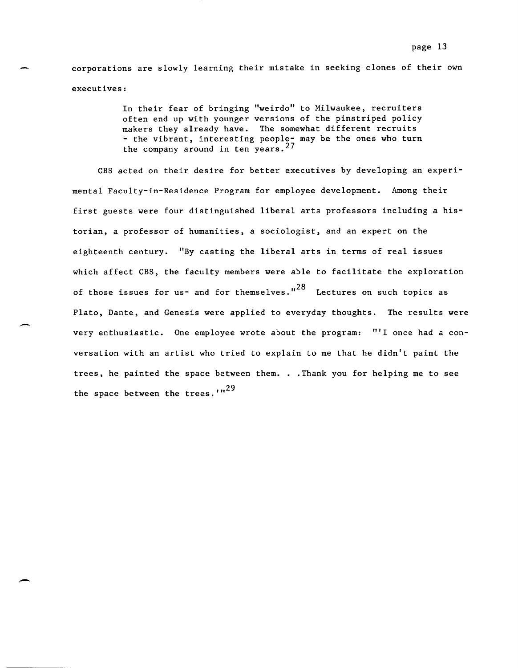corporations are slowly learning their mistake in seeking clones of their own executives:

> In their fear of bringing "weirdo" to Milwaukee, recruiters often end up with younger versions of the pinstriped policy makers they already have. The somewhat different recruits - the vibrant, interesting people- may be the ones who turn the company around in ten years.  $27$

CBS acted on their desire for better executives by developing an experimental Faculty-in-Residence Program for employee development. Among their first guests were four distinguished liberal arts professors including a historian, a professor of humanities, a sociologist, and an expert on the eighteenth century. "By casting the liberal arts in terms of real issues which affect CBS, the faculty members were able to facilitate the exploration of those issues for us- and for themselves." $^{28}$  Lectures on such topics as Plato, Dante, and Genesis were applied to everyday thoughts. The results were very enthusiastic. One employee wrote about the program: **"'I** once had a conversation with an artist who tried to explain to me that he didn't paint the trees, he painted the space between them. . . Thank you for helping me to see the space between the trees.'"<sup>29</sup>

 $\overline{\phantom{a}}$ 

-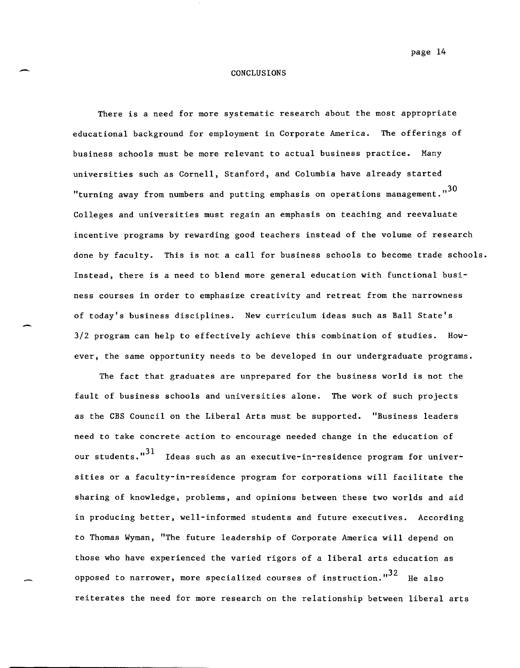## example 24 conclusions conclusions CONCLUSIONS

There is a need for more systematic research about the most appropriate educational background for employment in Corporate America. The offerings of business schools must be more relevant to actual business practice. Many universities such as Cornell, Stanford, and Columbia have already started "turning away from numbers and putting emphasis on operations management." $^{30}$ Colleges and universities must regain an emphasis on teaching and reevaluate incentive programs by rewarding good teachers instead of the volume of research done by faculty. This is not a call for business schools to become trade schools. Instead, there is a need to blend more general education with functional business courses in order to emphasize creativity and retreat from the narrowness of today's business disciplines. New curriculum ideas such as Ball State's 3/2 program can help to effectively achieve this combination of studies. However, the same opportunity needs to be developed in our undergraduate programs.

The fact that graduates are unprepared for the business world is not the fault of business schools and universities alone. The work of such projects as the CBS Council on the Liberal Arts must be supported. "Business leaders need to take concrete action to encourage needed change in the education of our students." $^{31}$  -Ideas such as an executive-in-residence program for universities or a faculty-in-residence program for corporations will facilitate the sharing of knowledge, problems, and opinions between these two worlds and aid in producing better, well-informed students and future executives. According to Thomas Wyman, "The future leadership of Corporate America will depend on those who have experienced the varied rigors of a liberal arts education as opposed to narrower, more specialized courses of instruction.  $\frac{1.32}{1.5}$  He also reiterates the need for more research on the relationship between liberal arts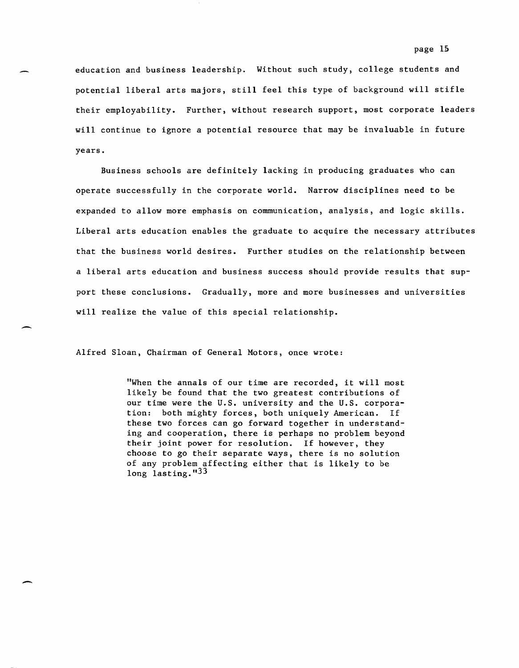education and business leadership. Without such study, college students and potential liberal arts majors, still feel this type of background will stifle their employability. Further, without research support, most corporate leaders will continue to ignore a potential resource that may be invaluable in future years.

Business schools are definitely lacking in producing graduates who can operate successfully in the corporate world. Narrow disciplines need to be expanded to allow more emphasis on communication, analysis, and logic skills. Liberal arts education enables the graduate to acquire the necessary attributes that the business world desires. Further studies on the relationship between a liberal arts education and business success should provide results that support these conclusions. Gradually, more and more businesses and universities will realize the value of this special relationship.

Alfred Sloan, Chairman of General Motors, once wrote:

-

-

"When the annals of our time are recorded, it will most likely be found that the two greatest contributions of our time were the U.S. university and the U.S. corporation: both mighty forces, both uniquely American. If these two forces can go forward together in understanding and cooperation, there is perhaps no problem beyond their joint power for resolution. If however, they choose to go their separate ways, there is no solution of any problem affecting either that is likely to be long lasting."33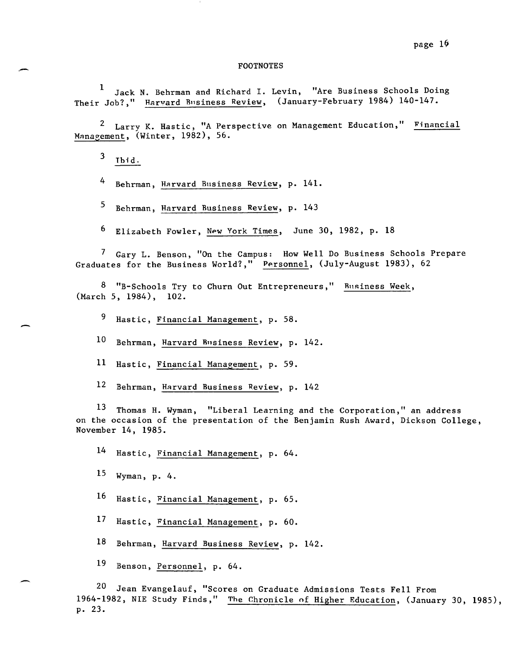#### FOOTNOTES

1 Jack N. Behrman and Richard 1. Levin, "Are Business Schools Doing Their Job?," Harvard Business Review, (January-February 1984) 140-147.

<sup>2</sup> Larry K. Hastic, "A Perspective on Management Education," Financial Management, (Winter, 1982), 56.

 $3$  Thid.

-

4 Behrman, Harvard Business Review, p. 141.

5 Behrman, Harvard Business Review, p. 143

6 Elizabeth Fowler, New York Times, June 30, 1982, p. 18

7 Gary L. Benson, "On the Campus: How Well Do Business Schools Prepare Graduates for the Business World?," Personnel, (July-August 1983), 62

8 "B-Schools Try to Churn Out Entrepreneurs," Business Week, (March 5, 1984), 102.

9 Hastic, Financial Management, p. 58.

10 Behrman, Harvard Business Review, p. 142.

11 Hastic, Financial Management, p. 59.

12 Behrman, Harvard Business Review, p. 142

13 Thomas H. Wyman, "Liberal Learning and the Corporation," an address on the occasion of the presentation of the Benjamin Rush Award, Dickson College, November 14, 1985.

14 Hastic, Financial Management, p. 64.

 $15$  Wyman, p. 4.

16 Hastic, Financial Management, p. 65.

17 Hastic, Financial Management, p. 60.

18 Behrman, Harvard Business Review, p. 142.

19 Benson, Personnel, p. 64.

20 Jean Evangelauf, "Scores on Graduate Admissions Tests Fell From 1964-1982, NIE Study Finds," The Chronicle of Higher Education, (January 30, 1985), p. 23.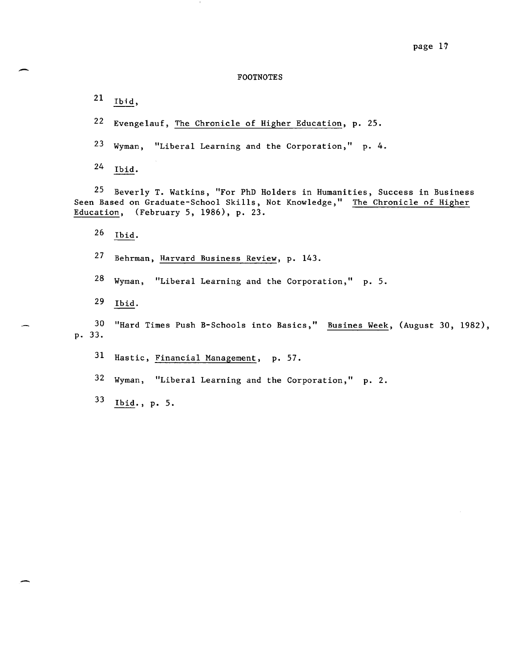# $\begin{array}{c} \texttt{page 17} \\ \texttt{FOOTNOTES} \end{array}$ FOOTNOTES

21 Ibid,

22 Evengelauf, The Chronicle of Higher Education, p. 25.

23 Wyman, "Liberal Learning and the Corporation,"  $p. 4$ .

 $24$  Ibid.

25 Beverly T. Watkins, "For PhD Holders in Humanities, Success in Business Seen Based on Graduate-School Skills, Not Knowledge," The Chronicle of Higher Education, (February 5, 1986), p. 23.

26 Ibid.

27 Behrman, Harvard Business Review, p. 143.

 $28$  Wyman, "Liberal Learning and the Corporation," p. 5.

29 Ibid.

30 "Hard Times Push B-Schools into Basics," Busines Week, (August 30, 1982), p. 33.

31 Hastic, Financial Management, p. 57.

 $32$  Wyman, "Liberal Learning and the Corporation," p. 2.

33 Ibid. , p. 5.